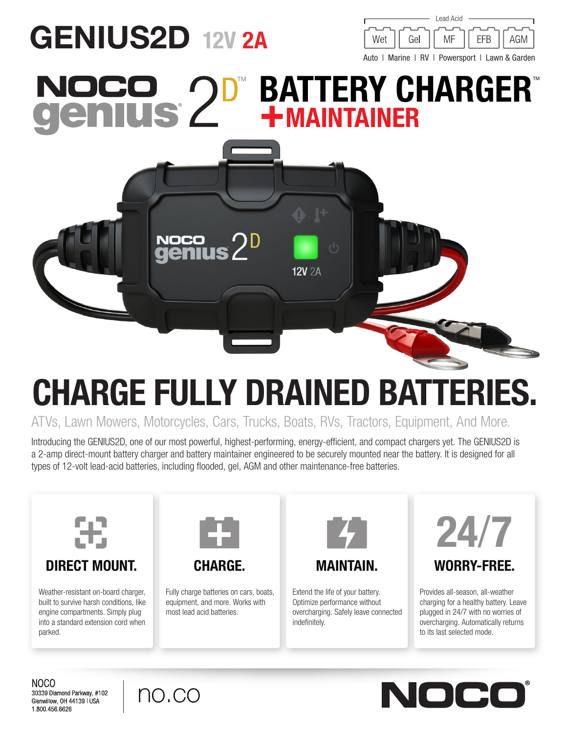## GENIUS2D 12V 2A Wet Gel MF **FFB** AGM Auto | Marine | RV | Powersport | Lawn & Garden **BATTERY CHARGER®** US' +MAINTAINER

ATVs, Lawn Mowers, Motorcycles, Cars, Trucks, Boats, RVs, Tractors, Equipment, And More.

CHARGE FULLY DRAINED BATTERIES.

**12V 2A** 

Introducing the GENIUS2D, one of our most powerful, highest-performing, energy-efficient, and compact chargers yet. The GENIUS2D is a 2-amp direct-mount battery charger and battery maintainer engineered to be securely mounted near the battery. It is designed for all types of 12-volt lead-acid batteries, including flooded, gel, AGM and other maintenance-free batteries.



Weather-resistant on-board charger,

built to survive harsh conditions, like engine compartments. Simply plug into a standard extension cord when parked.



Fully charge batteries on cars, boats, equipment, and more. Works with most lead acid batteries.



Extend the life of your battery. Optimize performance without overcharging. Safely leave connected indefinitely.



Lead Acid

Provides all-season, all-weather charging for a healthy battery. Leave plugged in 24/7 with no worries of overcharging. Automatically returns to its last selected mode.